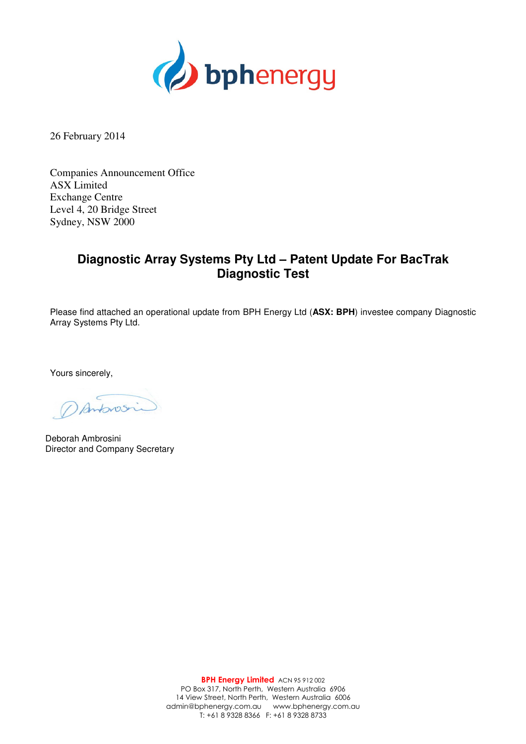

26 February 2014

Companies Announcement Office ASX Limited Exchange Centre Level 4, 20 Bridge Street Sydney, NSW 2000

## **Diagnostic Array Systems Pty Ltd – Patent Update For BacTrak Diagnostic Test**

Please find attached an operational update from BPH Energy Ltd (**ASX: BPH**) investee company Diagnostic Array Systems Pty Ltd.

Yours sincerely,

Antonos

Deborah Ambrosini Director and Company Secretary